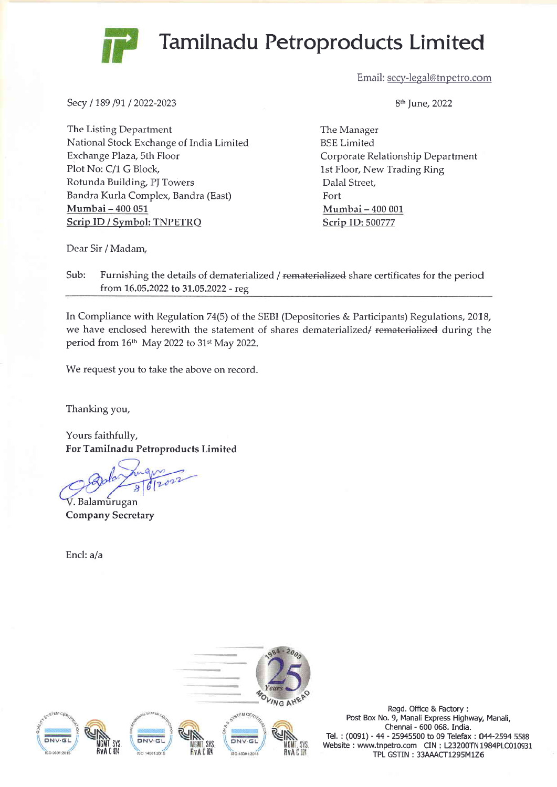## Tamilnadu Petroproducts Limited

Email: secy-legal@tnpetro.com

Secy / 189 /91 / 2022-2023

The Listing Department National Stock Exchange of India Limited Exchange Plaza, 5th Floor Plot No: C/1 G Block, Rotunda Building, PJ Towers Bandra Kurla Complex, Bandra (East) Mumbai - 400 <sup>051</sup> Scrip ID / Symbol: TNPETRO

9th June,2022

The Manager BSE Limited Corporate Relationship Department 1st Floor, New Trading Ring Dalal Street, Fort Mumbai - 400 001 Scrip ID:500777

Dear Sir / Madam,

Sub: Furnishing the details of dematerialized / rematerialized share certificates for the period from 16.05.2022 to 31.05.2022 - reg

In Compliance with Regulation 74(5) of the SEBI (Depositories & Participants) Regulations, 2018, we have enclosed herewith the statement of shares dematerialized/rematerialized during the period from 16<sup>th</sup> May 2022 to 31<sup>st</sup> May 2022.

We request you to take the above on record.

Thanking you,

Yours faithfully, For Tamilnadu Petroproducts Limited

 $\overline{a}$ . Balamurugan Company Secretary

Encl: a/a



Regd. Office & Factory : Post Box No. 9, Manali Express Highway, Manali, Chennai - 600 068. India. Tel.: (0091) - 44 - 25945500 to 09 Telefax: 044-2594 5588 Website : www.tnpetro.com CIN : L23200TN1984PLC010931 TPL GSTIN: 33AAACT1295M1Z6